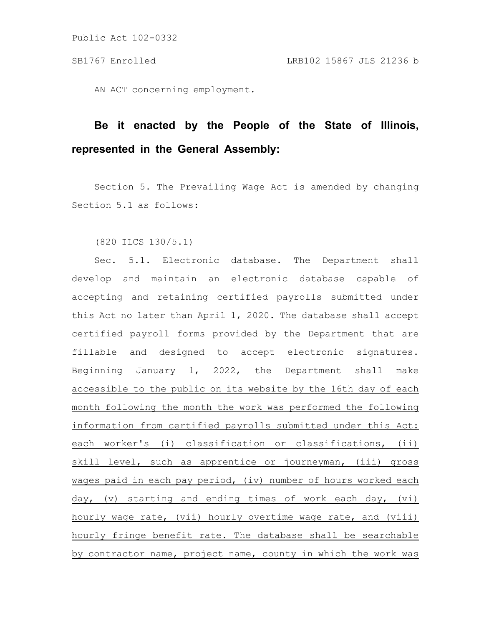Public Act 102-0332

AN ACT concerning employment.

## **Be it enacted by the People of the State of Illinois, represented in the General Assembly:**

Section 5. The Prevailing Wage Act is amended by changing Section 5.1 as follows:

(820 ILCS 130/5.1)

Sec. 5.1. Electronic database. The Department shall develop and maintain an electronic database capable of accepting and retaining certified payrolls submitted under this Act no later than April 1, 2020. The database shall accept certified payroll forms provided by the Department that are fillable and designed to accept electronic signatures. Beginning January 1, 2022, the Department shall make accessible to the public on its website by the 16th day of each month following the month the work was performed the following information from certified payrolls submitted under this Act: each worker's (i) classification or classifications, (ii) skill level, such as apprentice or journeyman, (iii) gross wages paid in each pay period, (iv) number of hours worked each day, (v) starting and ending times of work each day, (vi) hourly wage rate, (vii) hourly overtime wage rate, and (viii) hourly fringe benefit rate. The database shall be searchable by contractor name, project name, county in which the work was